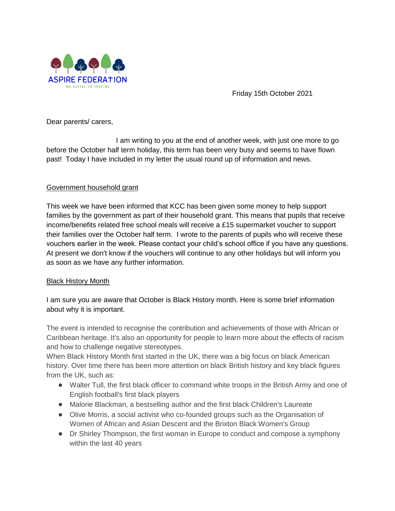

Friday 15th October 2021

Dear parents/ carers,

I am writing to you at the end of another week, with just one more to go before the October half term holiday, this term has been very busy and seems to have flown past! Today I have included in my letter the usual round up of information and news.

#### Government household grant

This week we have been informed that KCC has been given some money to help support families by the government as part of their household grant. This means that pupils that receive income/benefits related free school meals will receive a £15 supermarket voucher to support their families over the October half term. I wrote to the parents of pupils who will receive these vouchers earlier in the week. Please contact your child's school office if you have any questions. At present we don't know if the vouchers will continue to any other holidays but will inform you as soon as we have any further information.

#### Black History Month

I am sure you are aware that October is Black History month. Here is some brief information about why it is important.

The event is intended to recognise the contribution and achievements of those with African or Caribbean heritage. It's also an opportunity for people to learn more about the effects of racism and how to challenge negative stereotypes.

When Black History Month first started in the UK, there was a big focus on black American history. Over time there has been more attention on black British history and key black figures from the UK, such as:

- Walter Tull, the first black officer to command white troops in the British Army and one of English football's first black players
- Malorie Blackman, a bestselling author and the first black Children's Laureate
- Olive Morris, a social activist who co-founded groups such as the Organisation of Women of African and Asian Descent and the Brixton Black Women's Group
- Dr Shirley Thompson, the first woman in Europe to conduct and compose a symphony within the last 40 years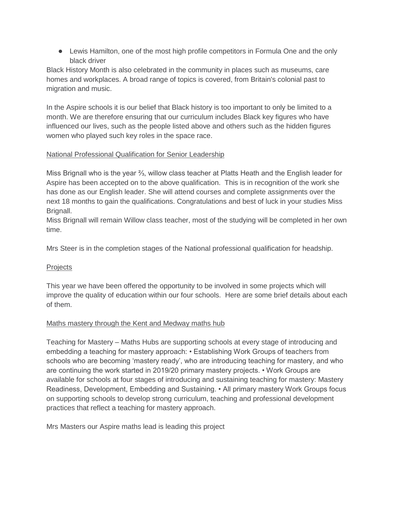• Lewis Hamilton, one of the most high profile competitors in Formula One and the only black driver

Black History Month is also celebrated in the community in places such as museums, care homes and workplaces. A broad range of topics is covered, from Britain's colonial past to migration and music.

In the Aspire schools it is our belief that Black history is too important to only be limited to a month. We are therefore ensuring that our curriculum includes Black key figures who have influenced our lives, such as the people listed above and others such as the hidden figures women who played such key roles in the space race.

### National Professional Qualification for Senior Leadership

Miss Brignall who is the year ⅔, willow class teacher at Platts Heath and the English leader for Aspire has been accepted on to the above qualification. This is in recognition of the work she has done as our English leader. She will attend courses and complete assignments over the next 18 months to gain the qualifications. Congratulations and best of luck in your studies Miss Brignall.

Miss Brignall will remain Willow class teacher, most of the studying will be completed in her own time.

Mrs Steer is in the completion stages of the National professional qualification for headship.

### **Projects**

This year we have been offered the opportunity to be involved in some projects which will improve the quality of education within our four schools. Here are some brief details about each of them.

### Maths mastery through the Kent and Medway maths hub

Teaching for Mastery – Maths Hubs are supporting schools at every stage of introducing and embedding a teaching for mastery approach: • Establishing Work Groups of teachers from schools who are becoming 'mastery ready', who are introducing teaching for mastery, and who are continuing the work started in 2019/20 primary mastery projects. • Work Groups are available for schools at four stages of introducing and sustaining teaching for mastery: Mastery Readiness, Development, Embedding and Sustaining. • All primary mastery Work Groups focus on supporting schools to develop strong curriculum, teaching and professional development practices that reflect a teaching for mastery approach.

Mrs Masters our Aspire maths lead is leading this project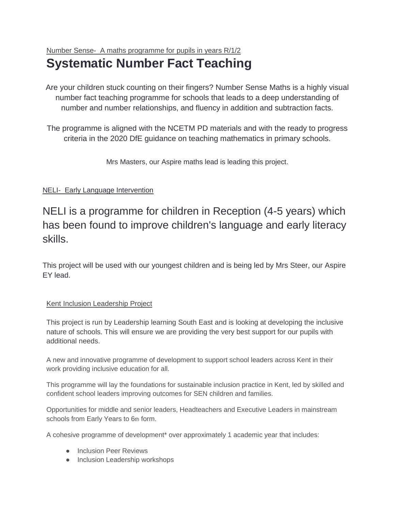# Number Sense- A maths programme for pupils in years R/1/2

# **Systematic Number Fact Teaching**

Are your children stuck counting on their fingers? Number Sense Maths is a highly visual number fact teaching programme for schools that leads to a deep understanding of number and number relationships, and fluency in addition and subtraction facts.

The programme is aligned with the NCETM PD materials and with the ready to progress criteria in the 2020 DfE guidance on teaching mathematics in primary schools.

Mrs Masters, our Aspire maths lead is leading this project.

## NELI- Early Language Intervention

NELI is a programme for children in Reception (4-5 years) which has been found to improve children's language and early literacy skills.

This project will be used with our youngest children and is being led by Mrs Steer, our Aspire EY lead.

## Kent Inclusion Leadership Project

This project is run by Leadership learning South East and is looking at developing the inclusive nature of schools. This will ensure we are providing the very best support for our pupils with additional needs.

A new and innovative programme of development to support school leaders across Kent in their work providing inclusive education for all.

This programme will lay the foundations for sustainable inclusion practice in Kent, led by skilled and confident school leaders improving outcomes for SEN children and families.

Opportunities for middle and senior leaders, Headteachers and Executive Leaders in mainstream schools from Early Years to 6th form.

A cohesive programme of development\* over approximately 1 academic year that includes:

- **•** Inclusion Peer Reviews
- Inclusion Leadership workshops